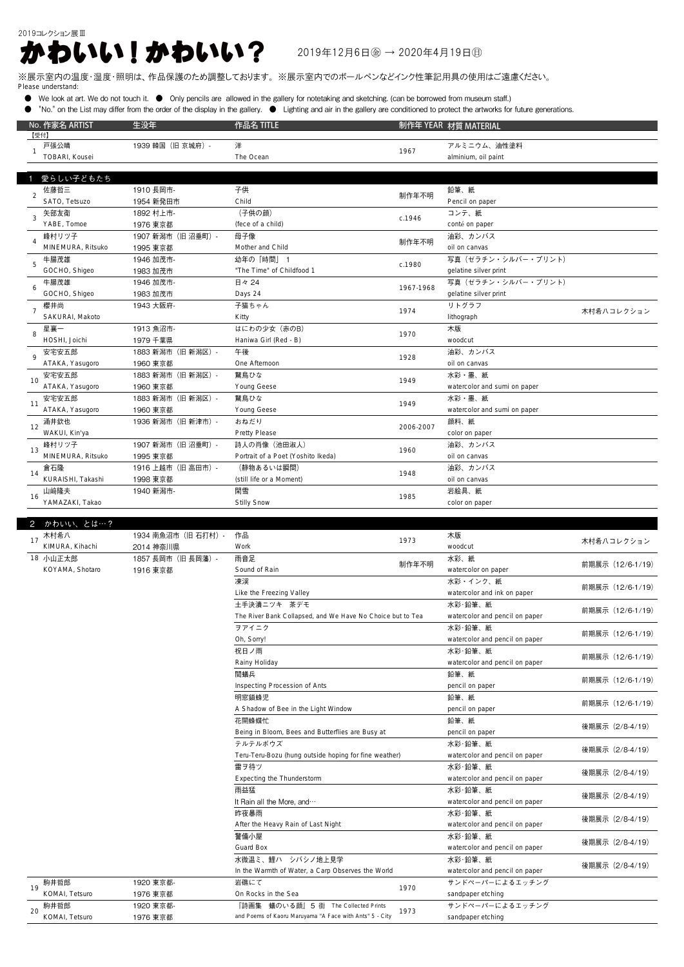## 2019コレクション展Ⅲ  $2019412780204471980$

## ※展示室内の温度・湿度・照明は、作品保護のため調整しております。 ※展示室内でのボールペンなどインク性筆記用具の使用はご遠慮ください。 Please understand:

- We look at art. We do not touch it. Only pencils are allowed in the gallery for notetaking and sketching. (can be borrowed from museum staff.)
- "No." on the List may differ from the order of the display in the gallery. Lighting and air in the gallery are conditioned to protect the artworks for future generations.

|  | No. 作家名 ARTIST    | 生没年                | 作品名 TITLE         |        | 制作年 YEAR 材質 MATERIAL」 |
|--|-------------------|--------------------|-------------------|--------|-----------------------|
|  | 【受付】              |                    |                   |        |                       |
|  | 戸張公晴              | 1939 韓国 (旧 京城府) -  | 洋                 | 1967   | アルミニウム、油性塗料           |
|  | TOBARI, Kousei    |                    | The Ocean         |        | alminium, oil paint   |
|  |                   |                    |                   |        |                       |
|  | 愛らしい子どもたち         |                    |                   |        |                       |
|  | 佐藤哲三              | 1910 長岡市-          | 子供                | 制作年不明  | 鉛筆、紙                  |
|  | SATO, Tetsuzo     | 1954 新発田市          | Child             |        | Pencil on paper       |
|  | 矢部友衛              | 1892 村上市-          | (子供の顔)            | c.1946 | コンテ、紙                 |
|  | YABE, Tomoe       | 1976 東京都           | (fece of a child) |        | conté on paper        |
|  | 峰村リツ子             | 1907 新潟市 (旧 沼垂町) - | 母子像               | 制作年不明  | 油彩、カンバス               |
|  | MINEMURA, Ritsuko | 1995 東京都           | Mother and Child  |        | oil on canvas         |
|  | 牛腸茂雄              | 1946 加茂市-          | 幼年の「時間」           |        | 写真(ゼラチン・シルバー・プリント)    |

|    | MINEMURA, Ritsuko | 1995 東京都           | Mother and Child                   | 1171 <b>127</b> 127 | oil on canvas                |            |
|----|-------------------|--------------------|------------------------------------|---------------------|------------------------------|------------|
|    | 牛腸茂雄              | 1946 加茂市-          | 幼年の「時間」 1                          | c.1980              | 写真 (ゼラチン・シルバー・プリント)          |            |
|    | GOCHO, Shigeo     | 1983 加茂市           | "The Time" of Childfood 1          |                     | gelatine silver print        |            |
| 6  | 牛腸茂雄              | 1946 加茂市-          | 日々 24                              | 1967-1968           | 写真(ゼラチン・シルバー・プリント)           |            |
|    | GOCHO, Shigeo     | 1983 加茂市           | Days 24                            |                     | gelatine silver print        |            |
|    | 櫻井尚               | 1943 大阪府-          | 子猫ちゃん                              | 1974                | リトグラフ                        |            |
|    | SAKURAI, Makoto   |                    | Kitty                              |                     | lithograph                   | 木村希ハコレクション |
| 8  | 星襄一               | 1913 魚沼市-          | はにわの少女 (赤のB)                       | 1970                | 木版                           |            |
|    | HOSHI, Joichi     | 1979 千葉県           | Haniwa Girl (Red - B)              |                     | woodcut                      |            |
|    | 安宅安五郎             | 1883 新潟市 (旧 新潟区) - | 午後                                 | 1928                | 油彩、カンバス                      |            |
|    | ATAKA, Yasugoro   | 1960 東京都           | One Afternoon                      |                     | oil on canvas                |            |
| 10 | 安宅安五郎             | 1883 新潟市 (旧 新潟区) - | 鵞鳥ひな                               | 1949                | 水彩・墨、紙                       |            |
|    | ATAKA, Yasugoro   | 1960 東京都           | <b>Young Geese</b>                 |                     | watercolor and sumi on paper |            |
| 11 | 安宅安五郎             | 1883 新潟市(旧 新潟区)-   | 鵞鳥ひな                               | 1949                | 水彩・墨、紙                       |            |
|    | ATAKA, Yasugoro   | 1960 東京都           | <b>Young Geese</b>                 |                     | watercolor and sumi on paper |            |
| 12 | 涌井欽也              | 1936 新潟市 (旧 新津市) - | おねだり                               | 2006-2007           | 顔料、紙                         |            |
|    | WAKUI, Kin'ya     |                    | <b>Pretty Please</b>               |                     | color on paper               |            |
|    | 峰村リツ子             | 1907 新潟市 (旧 沼垂町) - | 詩人の肖像(池田淑人)                        | 1960                | 油彩、カンバス                      |            |
| 13 | MINEMURA, Ritsuko | 1995 東京都           | Portrait of a Poet (Yoshito Ikeda) |                     | oil on canvas                |            |
| 14 | 倉石隆               | 1916 上越市 (旧 高田市) - | (静物あるいは瞬間)                         | 1948                | 油彩、カンバス                      |            |
|    | KURAISHI, Takashi | 1998 東京都           | (still life or a Moment)           |                     | oil on canvas                |            |
| 16 | 山﨑隆夫              | 1940 新潟市-          | 閑雪                                 | 1985                | 岩絵具、紙                        |            |
|    | YAMAZAKI, Takao   |                    | <b>Stilly Snow</b>                 |                     | color on paper               |            |
|    |                   |                    |                                    |                     |                              |            |

| $\overline{2}$<br>かわいい、とは…? |                     |                                                             |       |                                |                  |
|-----------------------------|---------------------|-------------------------------------------------------------|-------|--------------------------------|------------------|
| 木村希八<br>17                  | 1934 南魚沼市 (旧 石打村) - | 作品                                                          | 1973  | 木版                             | 木村希ハコレクション       |
| KIMURA, Kihachi             | 2014 神奈川県           | <b>Work</b>                                                 |       | woodcut                        |                  |
| 18 小山正太郎                    | 1857 長岡市 (旧 長岡藩) -  | 雨音足                                                         |       | 水彩、紙                           | 前期展示 (12/6-1/19) |
| KOYAMA, Shotaro             | 1916 東京都            | Sound of Rain                                               | 制作年不明 | watercolor on paper            |                  |
|                             |                     | 凍渓                                                          |       | 水彩・インク、紙                       | 前期展示 (12/6-1/19) |
|                             |                     | Like the Freezing Valley                                    |       | watercolor and ink on paper    |                  |
|                             |                     | 土手決潰ニツキ 茶デモ                                                 |       | 水彩·鉛筆、紙                        | 前期展示 (12/6-1/19) |
|                             |                     | The River Bank Collapsed, and We Have No Choice but to Tea  |       | watercolor and pencil on paper |                  |
|                             |                     | ヲアイニク<br>Oh, Sorry!<br>祝日ノ雨                                 |       | 水彩·鉛筆、紙                        | 前期展示 (12/6-1/19) |
|                             |                     |                                                             |       | watercolor and pencil on paper |                  |
|                             |                     |                                                             |       | 水彩·鉛筆、紙                        | 前期展示 (12/6-1/19) |
|                             |                     | Rainy Holiday                                               |       | watercolor and pencil on paper |                  |
|                             |                     | 閲蟻兵<br>Inspecting Procession of Ants<br>明窓鎖蜂児               |       | 鉛筆、紙                           | 前期展示 (12/6-1/19) |
|                             |                     |                                                             |       | pencil on paper                |                  |
|                             |                     |                                                             |       | 鉛筆、紙                           | 前期展示 (12/6-1/19) |
|                             |                     | A Shadow of Bee in the Light Window                         |       | pencil on paper                |                  |
|                             |                     | 花開蜂蝶忙                                                       |       | 鉛筆、紙                           | 後期展示 (2/8-4/19)  |
|                             |                     | Being in Bloom, Bees and Butterflies are Busy at<br>テルテルボウズ |       | pencil on paper                |                  |
|                             |                     |                                                             |       | 水彩·鉛筆、紙                        | 後期展示 (2/8-4/19)  |
|                             |                     | Teru-Teru-Bozu (hung outside hoping for fine weather)       |       | watercolor and pencil on paper |                  |
|                             |                     | 雷ヲ待ツ                                                        |       | 水彩·鉛筆、紙                        | 後期展示 (2/8-4/19)  |
|                             |                     | Expecting the Thunderstorm                                  |       | watercolor and pencil on paper |                  |
|                             |                     | 雨益猛<br>It Rain all the More, and<br>昨夜暴雨                    |       | 水彩·鉛筆、紙                        | 後期展示 (2/8-4/19)  |
|                             |                     |                                                             |       | watercolor and pencil on paper |                  |
|                             |                     |                                                             |       | 水彩·鉛筆、紙                        | 後期展示 (2/8-4/19)  |
|                             |                     | After the Heavy Rain of Last Night                          |       | watercolor and pencil on paper |                  |
|                             |                     | 警備小屋                                                        |       | 水彩·鉛筆、紙                        | 後期展示 (2/8-4/19)  |
|                             |                     | <b>Guard Box</b>                                            |       | watercolor and pencil on paper |                  |
|                             |                     | 水微温ミ、鯉ハ シバシノ地上見学                                            |       | 水彩·鉛筆、紙                        | 後期展示 (2/8-4/19)  |
|                             |                     | In the Warmth of Water, a Carp Observes the World           |       | watercolor and pencil on paper |                  |
| 駒井哲郎<br>19                  | 1920 東京都-           | 岩礁にて                                                        | 1970  | サンドペーパーによるエッチング                |                  |
| KOMAI, Tetsuro              | 1976 東京都            | On Rocks in the Sea                                         |       | sandpaper etching              |                  |
| 駒井哲郎<br>20                  | 1920 東京都-           | 『詩画集 蟻のいる顔』5 街 The Collected Prints<br>1973                 |       | サンドペーパーによるエッチング                |                  |
| KOMAI, Tetsuro              | 1976 東京都            | and Poems of Kaoru Maruyama "A Face with Ants" 5 - City     |       | sandpaper etching              |                  |